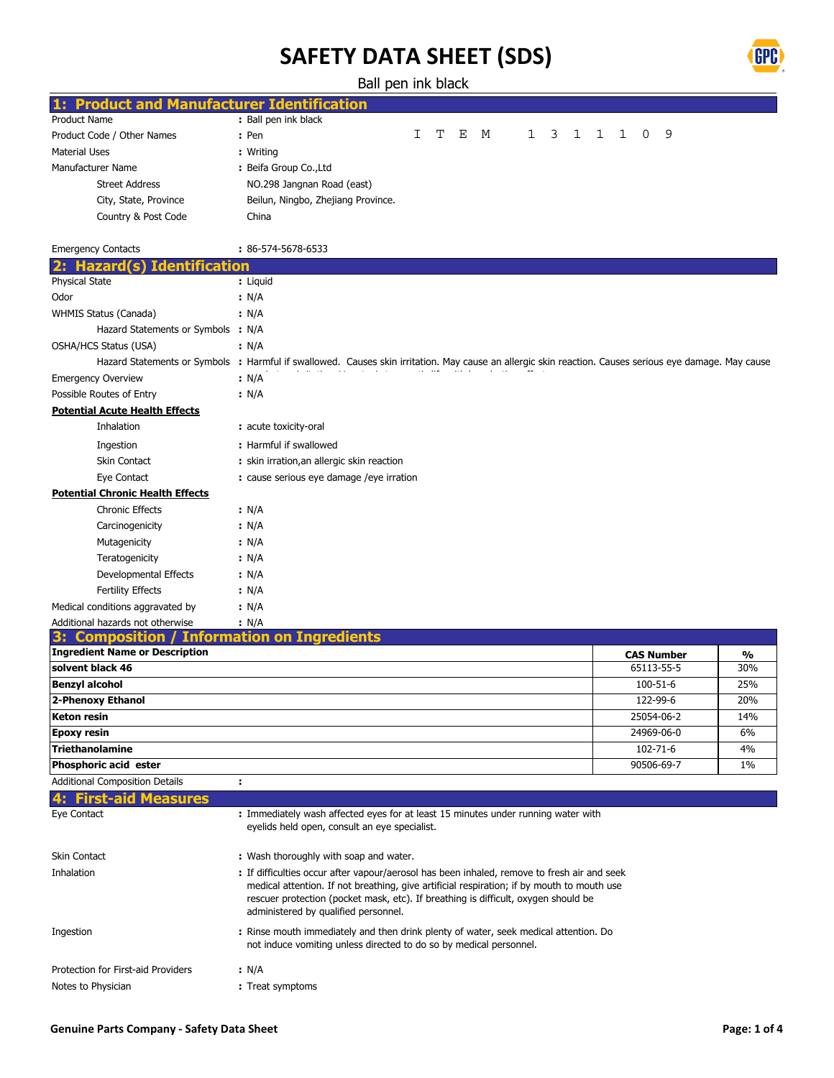

Ball pen ink black

| <b>Product and Manufacturer Identification</b> |                                                                                                                                                            |
|------------------------------------------------|------------------------------------------------------------------------------------------------------------------------------------------------------------|
| Product Name                                   | : Ball pen ink black                                                                                                                                       |
| Product Code / Other Names                     | 9<br>I<br>т<br>Ε<br>3<br>1<br>1<br>0<br>M<br>1<br>1<br>: Pen                                                                                               |
| <b>Material Uses</b>                           | : Writing                                                                                                                                                  |
| Manufacturer Name                              | : Beifa Group Co., Ltd                                                                                                                                     |
| <b>Street Address</b>                          | NO.298 Jangnan Road (east)                                                                                                                                 |
| City, State, Province                          | Beilun, Ningbo, Zhejiang Province.                                                                                                                         |
| Country & Post Code                            | China                                                                                                                                                      |
|                                                |                                                                                                                                                            |
| <b>Emergency Contacts</b>                      | : 86-574-5678-6533                                                                                                                                         |
| <b>Identification</b><br>2:<br>Hazard<br>(S)   |                                                                                                                                                            |
| Physical State                                 | : Liquid                                                                                                                                                   |
| Odor                                           | : N/A                                                                                                                                                      |
| WHMIS Status (Canada)                          | : N/A                                                                                                                                                      |
| Hazard Statements or Symbols : N/A             |                                                                                                                                                            |
| OSHA/HCS Status (USA)                          | : N/A                                                                                                                                                      |
|                                                | Hazard Statements or Symbols : Harmful if swallowed. Causes skin irritation. May cause an allergic skin reaction. Causes serious eye damage. May cause     |
| <b>Emergency Overview</b>                      | : N/A                                                                                                                                                      |
| Possible Routes of Entry                       | : N/A                                                                                                                                                      |
| <b>Potential Acute Health Effects</b>          |                                                                                                                                                            |
| Inhalation                                     | : acute toxicity-oral                                                                                                                                      |
|                                                |                                                                                                                                                            |
| Ingestion                                      | : Harmful if swallowed                                                                                                                                     |
| Skin Contact                                   | : skin irration, an allergic skin reaction                                                                                                                 |
| Eye Contact                                    | : cause serious eye damage / eye irration                                                                                                                  |
| <b>Potential Chronic Health Effects</b>        |                                                                                                                                                            |
| <b>Chronic Effects</b>                         | : N/A                                                                                                                                                      |
| Carcinogenicity                                | : N/A                                                                                                                                                      |
| Mutagenicity                                   | : N/A                                                                                                                                                      |
| Teratogenicity                                 | : N/A                                                                                                                                                      |
| Developmental Effects                          | : N/A                                                                                                                                                      |
| Fertility Effects                              | : N/A                                                                                                                                                      |
| Medical conditions aggravated by               | : N/A                                                                                                                                                      |
| Additional hazards not otherwise               | : N/A                                                                                                                                                      |
| Composition                                    | <b>Information on Ingredients</b>                                                                                                                          |
| <b>Ingredient Name or Description</b>          | <b>CAS Number</b><br>%                                                                                                                                     |
| solvent black 46                               | 30%<br>65113-55-5                                                                                                                                          |
| <b>Benzyl alcohol</b>                          | 25%<br>100-51-6                                                                                                                                            |
| 2-Phenoxy Ethanol                              | 122-99-6<br>20%                                                                                                                                            |
| Keton resin                                    | 25054-06-2<br>14%                                                                                                                                          |
| <b>Epoxy resin</b>                             | 24969-06-0<br>6%                                                                                                                                           |
| <b>Triethanolamine</b>                         | 102-71-6<br>4%                                                                                                                                             |
| Phosphoric acid ester                          | 90506-69-7<br>1%                                                                                                                                           |
| <b>Additional Composition Details</b>          | ÷                                                                                                                                                          |
| <b>First-aid Measures</b>                      |                                                                                                                                                            |
| Eye Contact                                    | : Immediately wash affected eyes for at least 15 minutes under running water with                                                                          |
|                                                | eyelids held open, consult an eye specialist.                                                                                                              |
|                                                |                                                                                                                                                            |
| Skin Contact                                   | : Wash thoroughly with soap and water.                                                                                                                     |
| Inhalation                                     | : If difficulties occur after vapour/aerosol has been inhaled, remove to fresh air and seek                                                                |
|                                                | medical attention. If not breathing, give artificial respiration; if by mouth to mouth use                                                                 |
|                                                | rescuer protection (pocket mask, etc). If breathing is difficult, oxygen should be<br>administered by qualified personnel.                                 |
|                                                |                                                                                                                                                            |
| Ingestion                                      | : Rinse mouth immediately and then drink plenty of water, seek medical attention. Do<br>not induce vomiting unless directed to do so by medical personnel. |
|                                                |                                                                                                                                                            |
| Protection for First-aid Providers             | : N/A                                                                                                                                                      |

: Treat symptoms

Notes to Physician **:**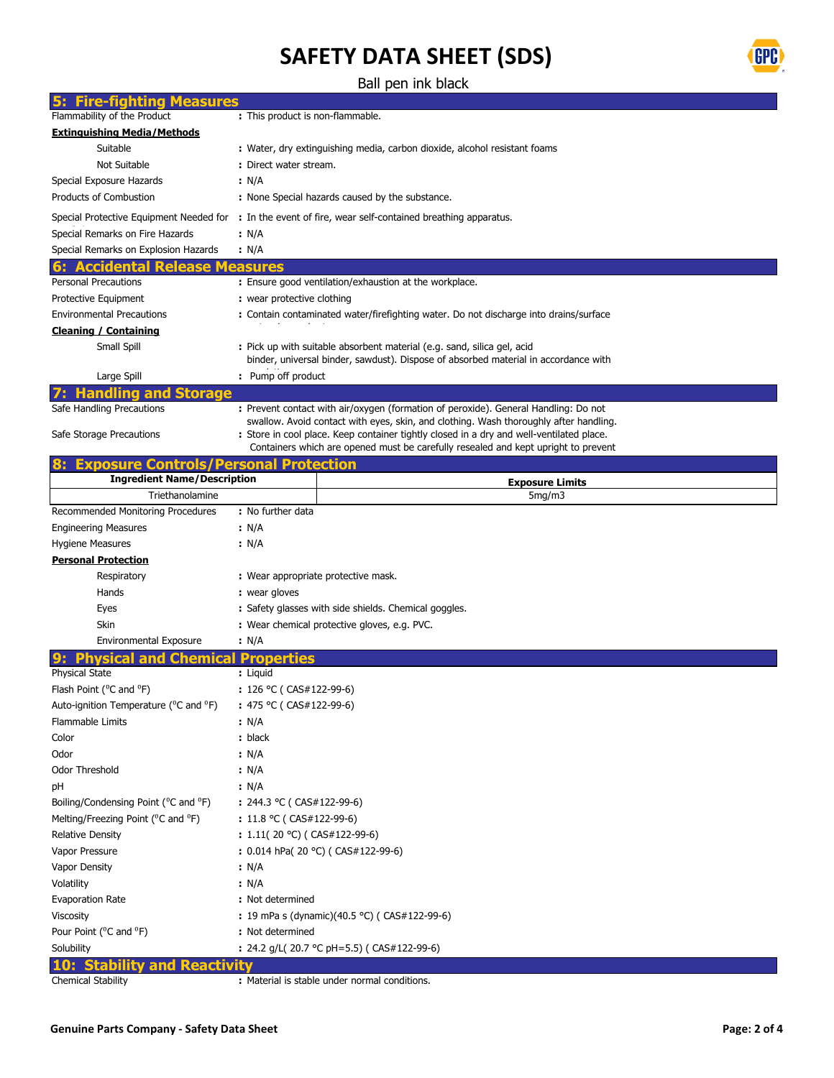

Ball pen ink black

| <b>Fire-fighting Measures</b>                                                      |                                                                                          |  |  |  |  |
|------------------------------------------------------------------------------------|------------------------------------------------------------------------------------------|--|--|--|--|
| Flammability of the Product                                                        | : This product is non-flammable.                                                         |  |  |  |  |
| <b>Extinguishing Media/Methods</b>                                                 |                                                                                          |  |  |  |  |
| Suitable                                                                           | : Water, dry extinguishing media, carbon dioxide, alcohol resistant foams                |  |  |  |  |
| Not Suitable                                                                       | : Direct water stream.                                                                   |  |  |  |  |
| Special Exposure Hazards                                                           | : N/A                                                                                    |  |  |  |  |
| Products of Combustion                                                             | : None Special hazards caused by the substance.                                          |  |  |  |  |
| Special Protective Equipment Needed for                                            | : In the event of fire, wear self-contained breathing apparatus.                         |  |  |  |  |
| Special Remarks on Fire Hazards                                                    | : N/A                                                                                    |  |  |  |  |
| Special Remarks on Explosion Hazards                                               | : N/A                                                                                    |  |  |  |  |
| <b>Accidental Release</b>                                                          | easures                                                                                  |  |  |  |  |
| <b>Personal Precautions</b>                                                        | : Ensure good ventilation/exhaustion at the workplace.                                   |  |  |  |  |
| Protective Equipment                                                               | : wear protective clothing                                                               |  |  |  |  |
| <b>Environmental Precautions</b>                                                   | : Contain contaminated water/firefighting water. Do not discharge into drains/surface    |  |  |  |  |
| <b>Cleaning / Containing</b>                                                       |                                                                                          |  |  |  |  |
| Small Spill                                                                        | : Pick up with suitable absorbent material (e.g. sand, silica gel, acid                  |  |  |  |  |
|                                                                                    | binder, universal binder, sawdust). Dispose of absorbed material in accordance with      |  |  |  |  |
| Large Spill                                                                        | : Pump off product                                                                       |  |  |  |  |
| <b>Storage</b><br>Handling and                                                     |                                                                                          |  |  |  |  |
| Safe Handling Precautions                                                          | : Prevent contact with air/oxygen (formation of peroxide). General Handling: Do not      |  |  |  |  |
|                                                                                    | swallow. Avoid contact with eyes, skin, and clothing. Wash thoroughly after handling.    |  |  |  |  |
| Safe Storage Precautions                                                           | : Store in cool place. Keep container tightly closed in a dry and well-ventilated place. |  |  |  |  |
|                                                                                    | Containers which are opened must be carefully resealed and kept upright to prevent       |  |  |  |  |
| <b>Exposure Controls/Personal Protection</b><br><b>Ingredient Name/Description</b> |                                                                                          |  |  |  |  |
| Triethanolamine                                                                    | <b>Exposure Limits</b><br>5mg/m3                                                         |  |  |  |  |
|                                                                                    |                                                                                          |  |  |  |  |
| Recommended Monitoring Procedures                                                  | : No further data                                                                        |  |  |  |  |
| <b>Engineering Measures</b>                                                        | : N/A                                                                                    |  |  |  |  |
| <b>Hygiene Measures</b>                                                            | : N/A                                                                                    |  |  |  |  |
| <b>Personal Protection</b>                                                         |                                                                                          |  |  |  |  |
| Respiratory                                                                        | : Wear appropriate protective mask.                                                      |  |  |  |  |
| Hands                                                                              | : wear gloves                                                                            |  |  |  |  |
| Eyes                                                                               | : Safety glasses with side shields. Chemical goggles.                                    |  |  |  |  |
| Skin                                                                               | : Wear chemical protective gloves, e.g. PVC.                                             |  |  |  |  |
| <b>Environmental Exposure</b>                                                      | : N/A                                                                                    |  |  |  |  |
| sical and Chem                                                                     | <b>Properties</b>                                                                        |  |  |  |  |
| <b>Physical State</b>                                                              | : Liquid                                                                                 |  |  |  |  |
| Flash Point ( <sup>o</sup> C and <sup>o</sup> F)                                   | : $126 °C$ (CAS#122-99-6)                                                                |  |  |  |  |
| Auto-ignition Temperature ( <sup>o</sup> C and <sup>o</sup> F)                     | : 475 °C (CAS#122-99-6)                                                                  |  |  |  |  |
| <b>Flammable Limits</b>                                                            | : N/A                                                                                    |  |  |  |  |
| Color                                                                              | : black                                                                                  |  |  |  |  |
| Odor                                                                               | : N/A                                                                                    |  |  |  |  |
| <b>Odor Threshold</b>                                                              | : N/A                                                                                    |  |  |  |  |
| рH                                                                                 | : N/A                                                                                    |  |  |  |  |
| Boiling/Condensing Point ( <sup>o</sup> C and <sup>o</sup> F)                      | : $244.3 \text{ °C}$ (CAS#122-99-6)                                                      |  |  |  |  |
| Melting/Freezing Point (°C and °F)                                                 | : $11.8 \text{ °C}$ ( CAS#122-99-6)                                                      |  |  |  |  |
| <b>Relative Density</b>                                                            | : $1.11(20 °C)$ (CAS#122-99-6)                                                           |  |  |  |  |
| Vapor Pressure                                                                     | : 0.014 hPa( 20 °C) ( $CAS#122-99-6$ )                                                   |  |  |  |  |
| Vapor Density                                                                      | : N/A                                                                                    |  |  |  |  |
| Volatility                                                                         | : N/A                                                                                    |  |  |  |  |
| <b>Evaporation Rate</b>                                                            | : Not determined                                                                         |  |  |  |  |
| Viscosity                                                                          | : 19 mPa s (dynamic)(40.5 °C) ( CAS#122-99-6)                                            |  |  |  |  |
| Pour Point ( <sup>o</sup> C and <sup>o</sup> F)                                    | : Not determined                                                                         |  |  |  |  |
| Solubility                                                                         | : 24.2 g/L( 20.7 °C pH=5.5) ( CAS#122-99-6)                                              |  |  |  |  |
| <b>Stability and Reactivity</b>                                                    |                                                                                          |  |  |  |  |
| <b>Chemical Stability</b>                                                          | : Material is stable under normal conditions.                                            |  |  |  |  |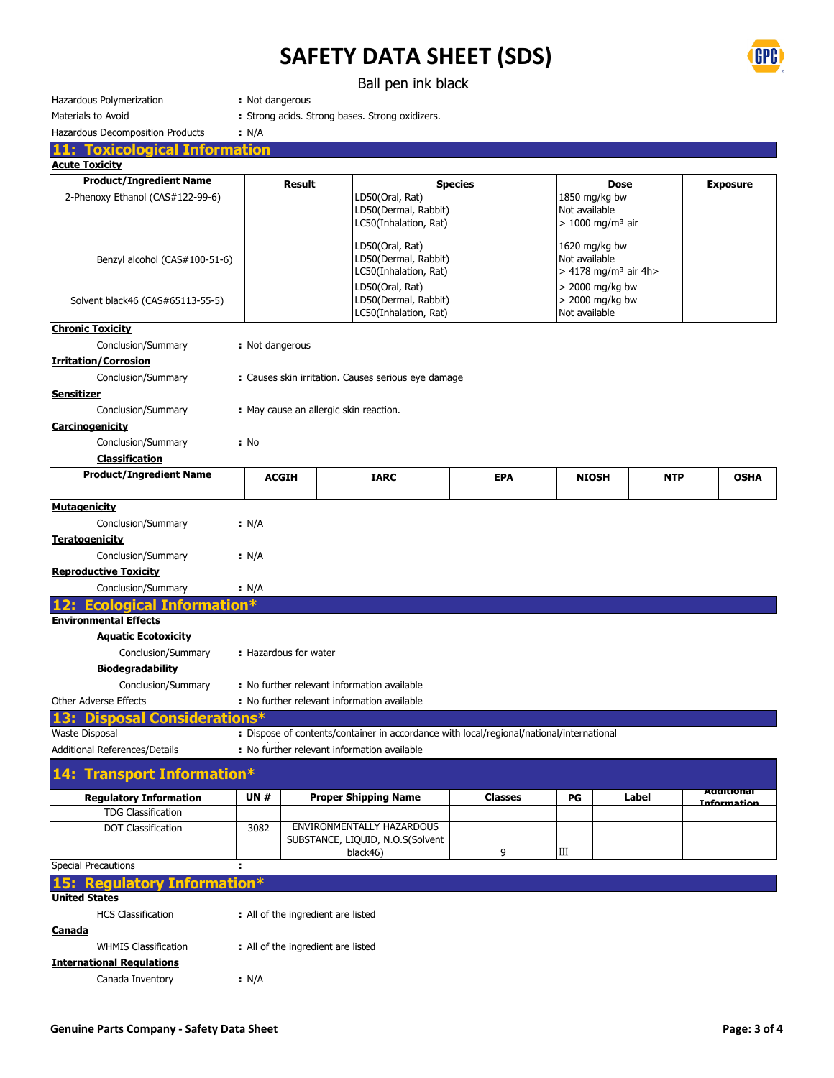



| Hazardous Polymerization                                              | : Not dangerous                                                                                                                        |                       |                                                                                          |                |                                                                  |             |                   |
|-----------------------------------------------------------------------|----------------------------------------------------------------------------------------------------------------------------------------|-----------------------|------------------------------------------------------------------------------------------|----------------|------------------------------------------------------------------|-------------|-------------------|
| Materials to Avoid                                                    |                                                                                                                                        |                       | : Strong acids. Strong bases. Strong oxidizers.                                          |                |                                                                  |             |                   |
| Hazardous Decomposition Products                                      | : N/A                                                                                                                                  |                       |                                                                                          |                |                                                                  |             |                   |
| <b>11: Toxicological Information</b>                                  |                                                                                                                                        |                       |                                                                                          |                |                                                                  |             |                   |
| <b>Acute Toxicity</b>                                                 |                                                                                                                                        |                       |                                                                                          |                |                                                                  |             |                   |
| <b>Product/Ingredient Name</b>                                        |                                                                                                                                        | <b>Result</b>         |                                                                                          | <b>Species</b> |                                                                  | <b>Dose</b> | <b>Exposure</b>   |
| 2-Phenoxy Ethanol (CAS#122-99-6)                                      |                                                                                                                                        |                       | LD50(Oral, Rat)<br>LD50(Dermal, Rabbit)<br>LC50(Inhalation, Rat)                         |                | 1850 mg/kg bw<br>Not available<br>$> 1000$ mg/m <sup>3</sup> air |             |                   |
| Benzyl alcohol (CAS#100-51-6)                                         | LD50(Oral, Rat)<br>1620 mg/kg bw<br>LD50(Dermal, Rabbit)<br>Not available<br>> 4178 mg/m <sup>3</sup> air 4h><br>LC50(Inhalation, Rat) |                       |                                                                                          |                |                                                                  |             |                   |
| Solvent black46 (CAS#65113-55-5)                                      |                                                                                                                                        |                       | LD50(Oral, Rat)<br>LD50(Dermal, Rabbit)<br>LC50(Inhalation, Rat)                         |                | $>$ 2000 mg/kg bw<br>$>$ 2000 mg/kg bw<br>Not available          |             |                   |
| <b>Chronic Toxicity</b>                                               |                                                                                                                                        |                       |                                                                                          |                |                                                                  |             |                   |
| Conclusion/Summary                                                    | : Not dangerous                                                                                                                        |                       |                                                                                          |                |                                                                  |             |                   |
| <b>Irritation/Corrosion</b>                                           |                                                                                                                                        |                       |                                                                                          |                |                                                                  |             |                   |
| Conclusion/Summary                                                    |                                                                                                                                        |                       | : Causes skin irritation. Causes serious eye damage                                      |                |                                                                  |             |                   |
| <b>Sensitizer</b>                                                     |                                                                                                                                        |                       |                                                                                          |                |                                                                  |             |                   |
| Conclusion/Summary                                                    | : May cause an allergic skin reaction.                                                                                                 |                       |                                                                                          |                |                                                                  |             |                   |
| Carcinogenicity                                                       |                                                                                                                                        |                       |                                                                                          |                |                                                                  |             |                   |
| Conclusion/Summary                                                    | : No                                                                                                                                   |                       |                                                                                          |                |                                                                  |             |                   |
| <b>Classification</b>                                                 |                                                                                                                                        |                       |                                                                                          |                |                                                                  |             |                   |
| <b>Product/Ingredient Name</b>                                        |                                                                                                                                        | <b>ACGIH</b>          | <b>IARC</b>                                                                              | <b>EPA</b>     | <b>NIOSH</b>                                                     | <b>NTP</b>  | <b>OSHA</b>       |
|                                                                       |                                                                                                                                        |                       |                                                                                          |                |                                                                  |             |                   |
| <b>Mutagenicity</b>                                                   |                                                                                                                                        |                       |                                                                                          |                |                                                                  |             |                   |
| Conclusion/Summary                                                    | : N/A                                                                                                                                  |                       |                                                                                          |                |                                                                  |             |                   |
| <b>Teratogenicity</b>                                                 |                                                                                                                                        |                       |                                                                                          |                |                                                                  |             |                   |
| Conclusion/Summary<br><b>Reproductive Toxicity</b>                    | : N/A                                                                                                                                  |                       |                                                                                          |                |                                                                  |             |                   |
| Conclusion/Summary                                                    |                                                                                                                                        |                       |                                                                                          |                |                                                                  |             |                   |
|                                                                       | : N/A                                                                                                                                  |                       |                                                                                          |                |                                                                  |             |                   |
| <b>Ecological Information*</b><br>12.<br><b>Environmental Effects</b> |                                                                                                                                        |                       |                                                                                          |                |                                                                  |             |                   |
| <b>Aquatic Ecotoxicity</b>                                            |                                                                                                                                        |                       |                                                                                          |                |                                                                  |             |                   |
| Conclusion/Summary                                                    |                                                                                                                                        | : Hazardous for water |                                                                                          |                |                                                                  |             |                   |
| <b>Biodegradability</b>                                               |                                                                                                                                        |                       |                                                                                          |                |                                                                  |             |                   |
| Conclusion/Summary                                                    |                                                                                                                                        |                       |                                                                                          |                |                                                                  |             |                   |
| Other Adverse Effects                                                 | : No further relevant information available<br>: No further relevant information available                                             |                       |                                                                                          |                |                                                                  |             |                   |
| 13: Disposal Considerations*                                          |                                                                                                                                        |                       |                                                                                          |                |                                                                  |             |                   |
| <b>Waste Disposal</b>                                                 |                                                                                                                                        |                       | : Dispose of contents/container in accordance with local/regional/national/international |                |                                                                  |             |                   |
| Additional References/Details                                         |                                                                                                                                        |                       | : No further relevant information available                                              |                |                                                                  |             |                   |
| 14: Transport Information*                                            |                                                                                                                                        |                       |                                                                                          |                |                                                                  |             |                   |
| <b>Regulatory Information</b>                                         | <b>UN#</b>                                                                                                                             |                       | <b>Proper Shipping Name</b>                                                              | <b>Classes</b> | PG                                                               | Label       | <b>Additional</b> |
| <b>TDG Classification</b>                                             |                                                                                                                                        |                       |                                                                                          |                |                                                                  |             | Information       |
| <b>DOT Classification</b>                                             | 3082                                                                                                                                   |                       | ENVIRONMENTALLY HAZARDOUS<br>SUBSTANCE, LIQUID, N.O.S(Solvent<br>black46)                | 9              | Ш                                                                |             |                   |

Special Precautions **:**

| 15: Regulatory Information*      |                                    |  |
|----------------------------------|------------------------------------|--|
| <b>United States</b>             |                                    |  |
| <b>HCS Classification</b>        | : All of the ingredient are listed |  |
| <b>Canada</b>                    |                                    |  |
| <b>WHMIS Classification</b>      | : All of the ingredient are listed |  |
| <b>International Requlations</b> |                                    |  |
| Canada Inventory                 | : N/A                              |  |

black46) 9